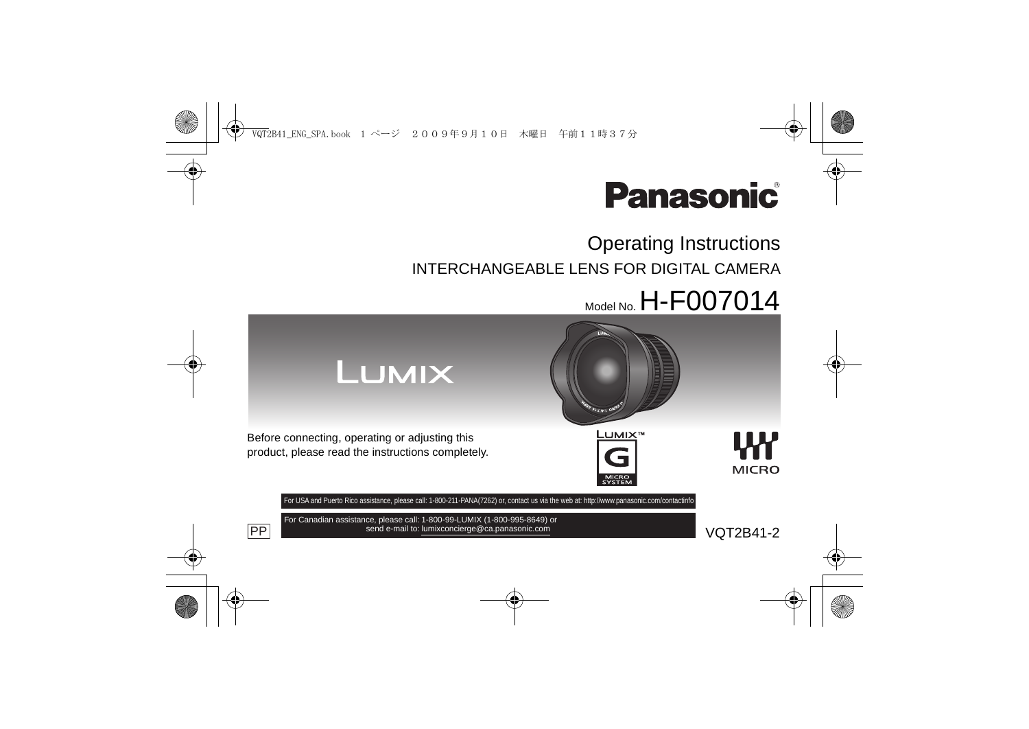

# Operating Instructions INTERCHANGEABLE LENS FOR DIGITAL CAMERA

# $M_{\odot}$ del No. H-F007014



PP send e-mail to: lumixconcierge@ca.panasonic.com version of the VOT2B41-2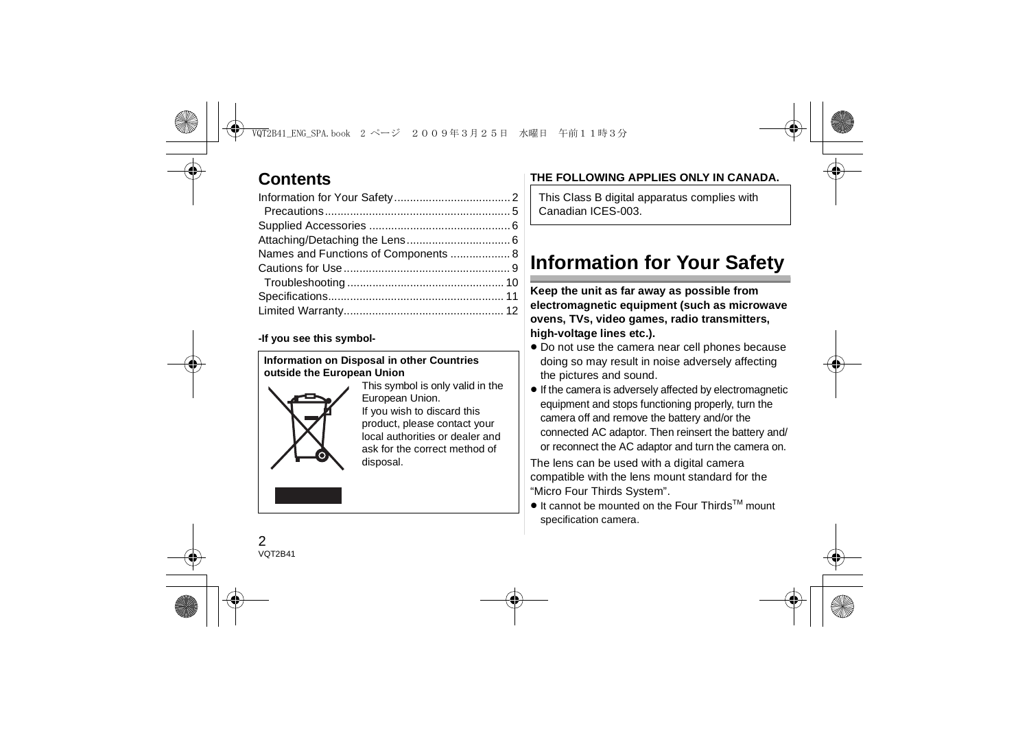## **Contents**

| Names and Functions of Components  8 |  |
|--------------------------------------|--|
|                                      |  |
|                                      |  |
|                                      |  |
|                                      |  |
|                                      |  |

#### **-If you see this symbol-**

#### **Information on Disposal in other Countries outside the European Union**



This symbol is only valid in the European Union. If you wish to discard this product, please contact your local authorities or dealer and ask for the correct method of disposal.

### **THE FOLLOWING APPLIES ONLY IN CANADA.**

This Class B digital apparatus complies with Canadian ICES-003.

# **Information for Your Safety**

**Keep the unit as far away as possible from electromagnetic equipment (such as microwave ovens, TVs, video games, radio transmitters, high-voltage lines etc.).**

- Do not use the camera near cell phones because doing so may result in noise adversely affecting the pictures and sound.
- If the camera is adversely affected by electromagnetic equipment and stops functioning properly, turn the camera off and remove the battery and/or the connected AC adaptor. Then reinsert the battery and/ or reconnect the AC adaptor and turn the camera on.

The lens can be used with a digital camera compatible with the lens mount standard for the "Micro Four Thirds System".

● It cannot be mounted on the Four Thirds<sup>™</sup> mount specification camera.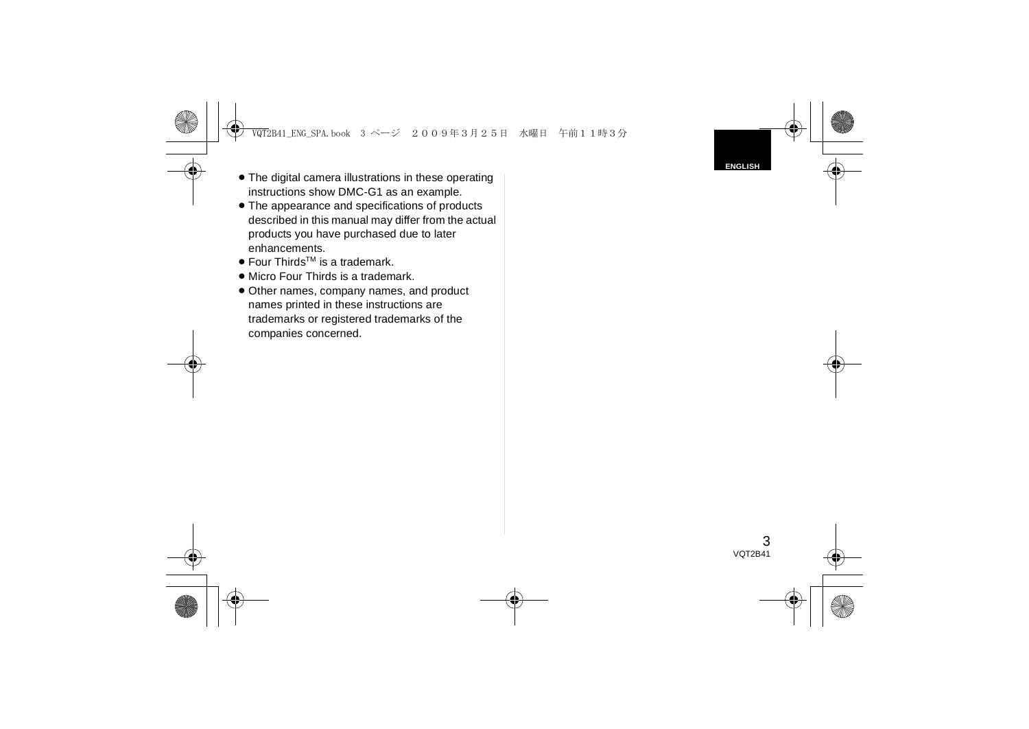- ≥ The digital camera illustrations in these operating instructions show DMC-G1 as an example.
- ≥ The appearance and specifications of products described in this manual may differ from the actual products you have purchased due to later enhancements.
- Four Thirds<sup>™</sup> is a trademark.
- Micro Four Thirds is a trademark.
- Other names, company names, and product names printed in these instructions are trademarks or registered trademarks of the companies concerned.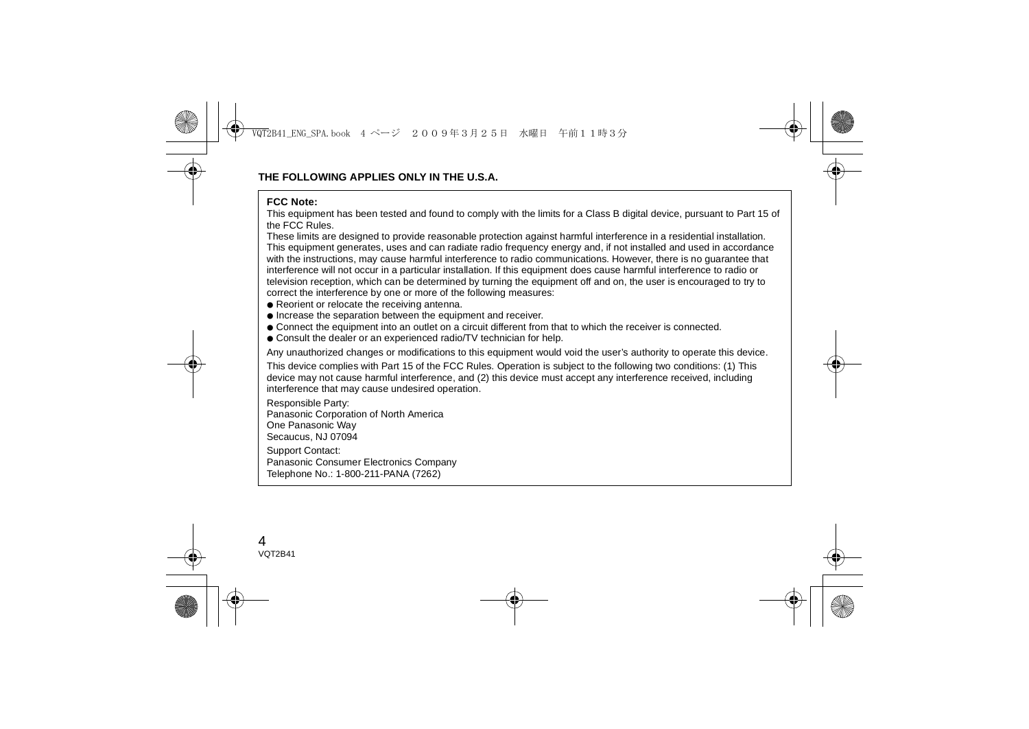#### **FCC Note:**

 This equipment has been tested and found to comply with the limits for a Class B digital device, pursuant to Part 15 of the FCC Rules.

These limits are designed to provide reasonable protection against harmful interference in a residential installation. This equipment generates, uses and can radiate radio frequency energy and, if not installed and used in accordance with the instructions, may cause harmful interference to radio communications. However, there is no guarantee that interference will not occur in a particular installation. If this equipment does cause harmful interference to radio or television reception, which can be determined by turning the equipment off and on, the user is encouraged to try to correct the interference by one or more of the following measures:

- Reorient or relocate the receiving antenna.
- Increase the separation between the equipment and receiver.
- Connect the equipment into an outlet on a circuit different from that to which the receiver is connected.
- Consult the dealer or an experienced radio/TV technician for help.

Any unauthorized changes or modifications to this equipment would void the user's authority to operate this device.

This device complies with Part 15 of the FCC Rules. Operation is subject to the following two conditions: (1) This device may not cause harmful interference, and (2) this device must accept any interference received, including interference that may cause undesired operation.

Responsible Party:

Panasonic Corporation of North America

One Panasonic Way

Secaucus, NJ 07094

Support Contact:

Panasonic Consumer Electronics Company

Telephone No.: 1-800-211-PANA (7262)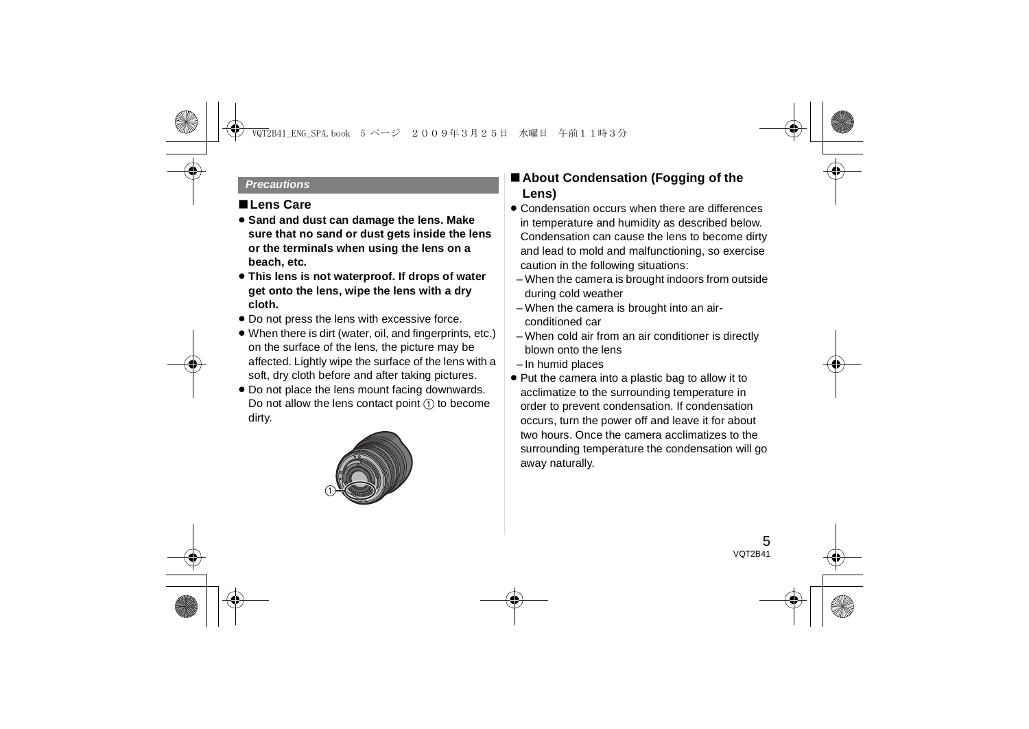#### *Precautions*

### ∫**Lens Care**

- ≥ **Sand and dust can damage the lens. Make sure that no sand or dust gets inside the lens or the terminals when using the lens on a beach, etc.**
- ≥ **This lens is not waterproof. If drops of water get onto the lens, wipe the lens with a dry cloth.**
- Do not press the lens with excessive force.
- ≥ When there is dirt (water, oil, and fingerprints, etc.) on the surface of the lens, the picture may be affected. Lightly wipe the surface of the lens with a soft, dry cloth before and after taking pictures.
- Do not place the lens mount facing downwards. Do not allow the lens contact point  $(1)$  to become dirty.



## ∫ **About Condensation (Fogging of the Lens)**

- Condensation occurs when there are differences in temperature and humidity as described below. Condensation can cause the lens to become dirty and lead to mold and malfunctioning, so exercise caution in the following situations:
- When the camera is brought indoors from outside during cold weather
- When the camera is brought into an airconditioned car
- When cold air from an air conditioner is directly blown onto the lens
- In humid places
- Put the camera into a plastic bag to allow it to acclimatize to the surrounding temperature in order to prevent condensation. If condensation occurs, turn the power off and leave it for about two hours. Once the camera acclimatizes to the surrounding temperature the condensation will go away naturally.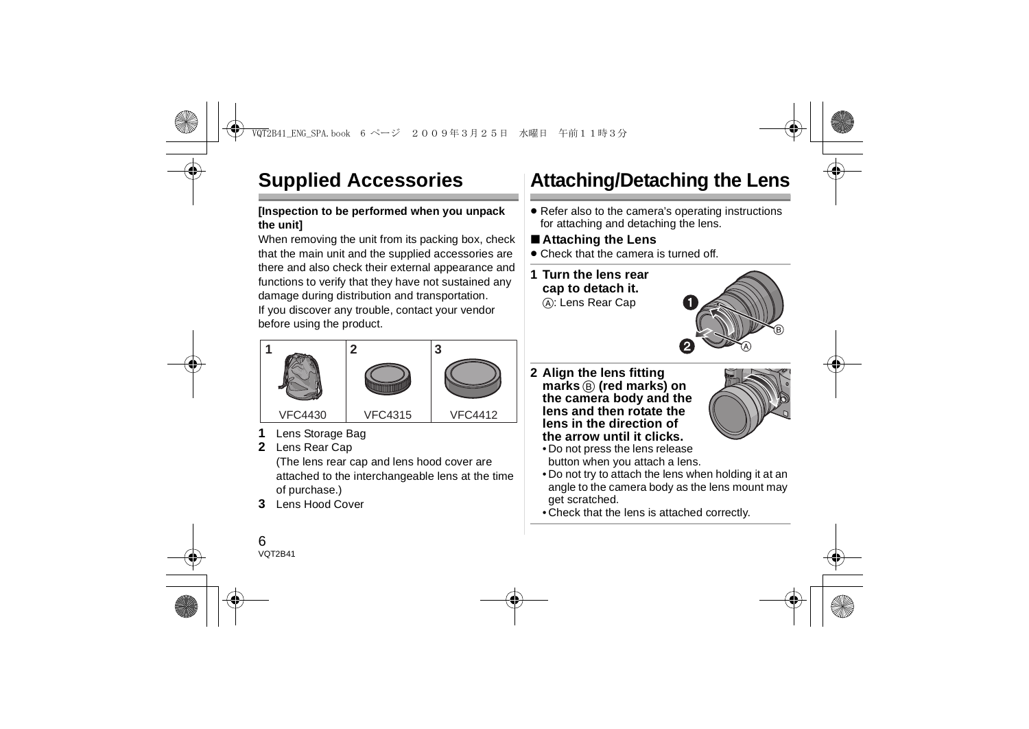# **Supplied Accessories**

### **[Inspection to be performed when you unpack the unit]**

When removing the unit from its packing box, check that the main unit and the supplied accessories are there and also check their external appearance and functions to verify that they have not sustained any damage during distribution and transportation. If you discover any trouble, contact your vendor before using the product.



- **1**Lens Storage Bag
- **2**Lens Rear Cap

(The lens rear cap and lens hood cover are attached to the interchangeable lens at the time of purchase.)

**3** Lens Hood Cover

# **Attaching/Detaching the Lens**

● Refer also to the camera's operating instructions for attaching and detaching the lens.

## ∫ **Attaching the Lens**

- Check that the camera is turned off.
- **1 Turn the lens rear cap to detach it.** A: Lens Rear Cap



**2 Align the lens fitting marks** B **(red marks) on the camera body and the lens and then rotate the lens in the direction of the arrow until it clicks.**



- Do not press the lens release button when you attach a lens.
- Do not try to attach the lens when holding it at an angle to the camera body as the lens mount may get scratched.
- Check that the lens is attached correctly.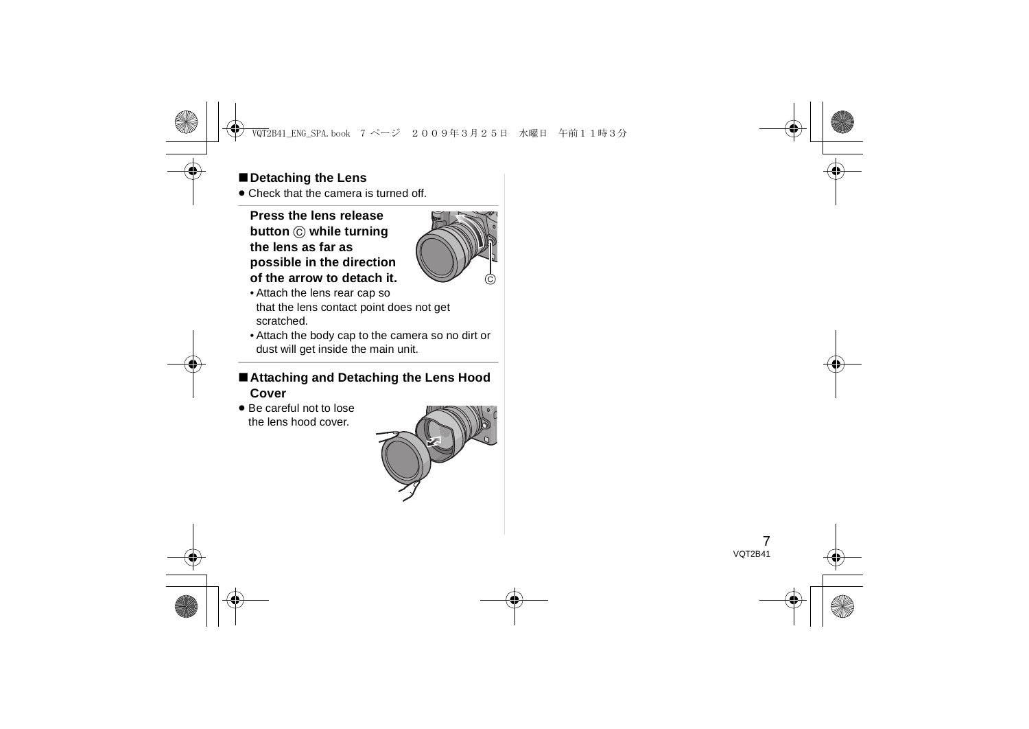## ∫**Detaching the Lens**

● Check that the camera is turned off.

### **Press the lens release button** C **while turning the lens as far as possible in the direction of the arrow to detach it.**



- Attach the lens rear cap so that the lens contact point does not get scratched.
- Attach the body cap to the camera so no dirt or dust will get inside the main unit.
- ∫**Attaching and Detaching the Lens Hood Cover**
- Be careful not to lose the lens hood cover.

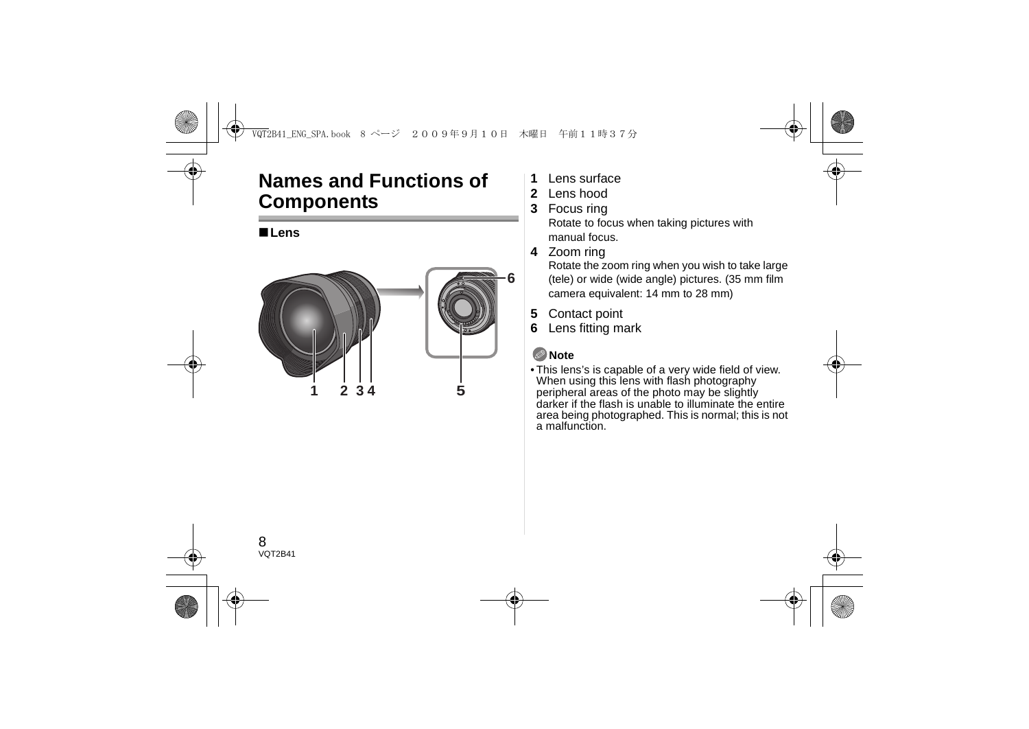## **Names and Functions of Components**

### ∫**Lens**



- **1**Lens surface
- **2** Lens hood
- **3** Focus ring

Rotate to focus when taking pictures with manual focus.

**4** Zoom ring

Rotate the zoom ring when you wish to take large (tele) or wide (wide angle) pictures. (35 mm film camera equivalent: 14 mm to 28 mm)

- **5** Contact point
- **6**Lens fitting mark

## **Note**

• This lens's is capable of a very wide field of view. When using this lens with flash photography peripheral areas of the photo may be slightly darker if the flash is unable to illuminate the entire area being photographed. This is normal; this is not a malfunction.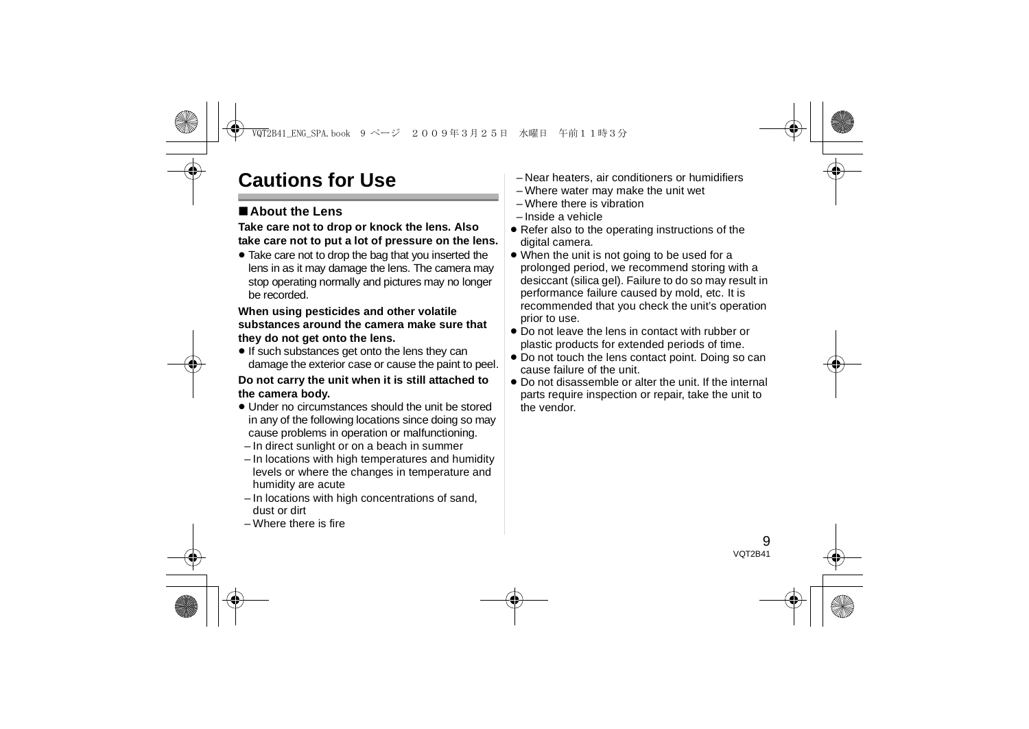# **Cautions for Use**

## ∫**About the Lens**

#### **Take care not to drop or knock the lens. Also take care not to put a lot of pressure on the lens.**

≥ Take care not to drop the bag that you inserted the lens in as it may damage the lens. The camera may stop operating normally and pictures may no longer be recorded.

#### **When using pesticides and other volatile substances around the camera make sure that they do not get onto the lens.**

● If such substances get onto the lens they can damage the exterior case or cause the paint to peel.

#### **Do not carry the unit when it is still attached to the camera body.**

- Under no circumstances should the unit be stored in any of the following locations since doing so may cause problems in operation or malfunctioning.
- In direct sunlight or on a beach in summer
- In locations with high temperatures and humidity levels or where the changes in temperature and humidity are acute
- In locations with high concentrations of sand, dust or dirt
- Where there is fire
- Near heaters, air conditioners or humidifiers
- Where water may make the unit wet
- Where there is vibration
- Inside a vehicle
- Refer also to the operating instructions of the digital camera.
- ≥ When the unit is not going to be used for a prolonged period, we recommend storing with a desiccant (silica gel). Failure to do so may result in performance failure caused by mold, etc. It is recommended that you check the unit's operation prior to use.
- Do not leave the lens in contact with rubber or plastic products for extended periods of time.
- ≥ Do not touch the lens contact point. Doing so can cause failure of the unit.
- Do not disassemble or alter the unit. If the internal parts require inspection or repair, take the unit to the vendor.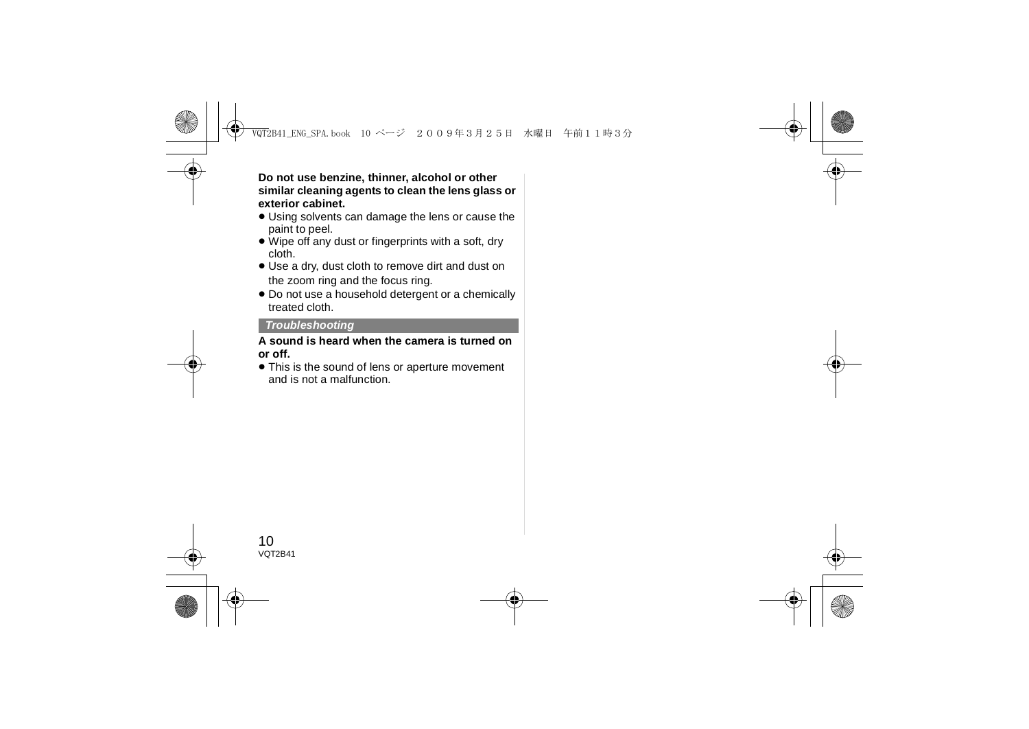**Do not use benzine, thinner, alcohol or other similar cleaning agents to clean the lens glass or exterior cabinet.**

- Using solvents can damage the lens or cause the paint to peel.
- ≥ Wipe off any dust or fingerprints with a soft, dry cloth.
- ≥ Use a dry, dust cloth to remove dirt and dust on the zoom ring and the focus ring.
- ≥ Do not use a household detergent or a chemically treated cloth.

#### *Troubleshooting*

#### **A sound is heard when the camera is turned on or off.**

● This is the sound of lens or aperture movement and is not a malfunction.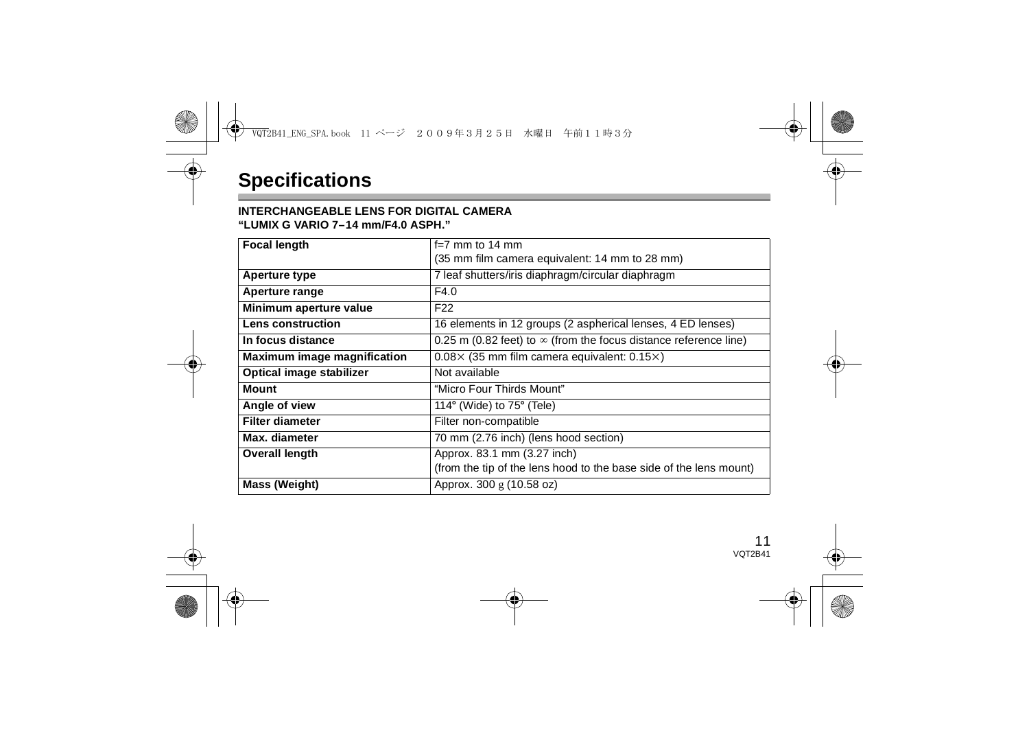### **INTERCHANGEABLE LENS FOR DIGITAL CAMERA**

**"LUMIX G VARIO 7–14 mm/F4.0 ASPH."**

| <b>Focal length</b>         | $f=7$ mm to 14 mm                                                       |
|-----------------------------|-------------------------------------------------------------------------|
|                             | (35 mm film camera equivalent: 14 mm to 28 mm)                          |
| Aperture type               | 7 leaf shutters/iris diaphragm/circular diaphragm                       |
| Aperture range              | F4.0                                                                    |
| Minimum aperture value      | F <sub>22</sub>                                                         |
| Lens construction           | 16 elements in 12 groups (2 aspherical lenses, 4 ED lenses)             |
| In focus distance           | 0.25 m (0.82 feet) to $\infty$ (from the focus distance reference line) |
| Maximum image magnification | $0.08 \times (35$ mm film camera equivalent: $0.15 \times$ )            |
| Optical image stabilizer    | Not available                                                           |
| <b>Mount</b>                | "Micro Four Thirds Mount"                                               |
| Angle of view               | 114 $\degree$ (Wide) to 75 $\degree$ (Tele)                             |
| <b>Filter diameter</b>      | Filter non-compatible                                                   |
| Max. diameter               | 70 mm (2.76 inch) (lens hood section)                                   |
| <b>Overall length</b>       | Approx. 83.1 mm (3.27 inch)                                             |
|                             | (from the tip of the lens hood to the base side of the lens mount)      |
| Mass (Weight)               | Approx. 300 g (10.58 oz)                                                |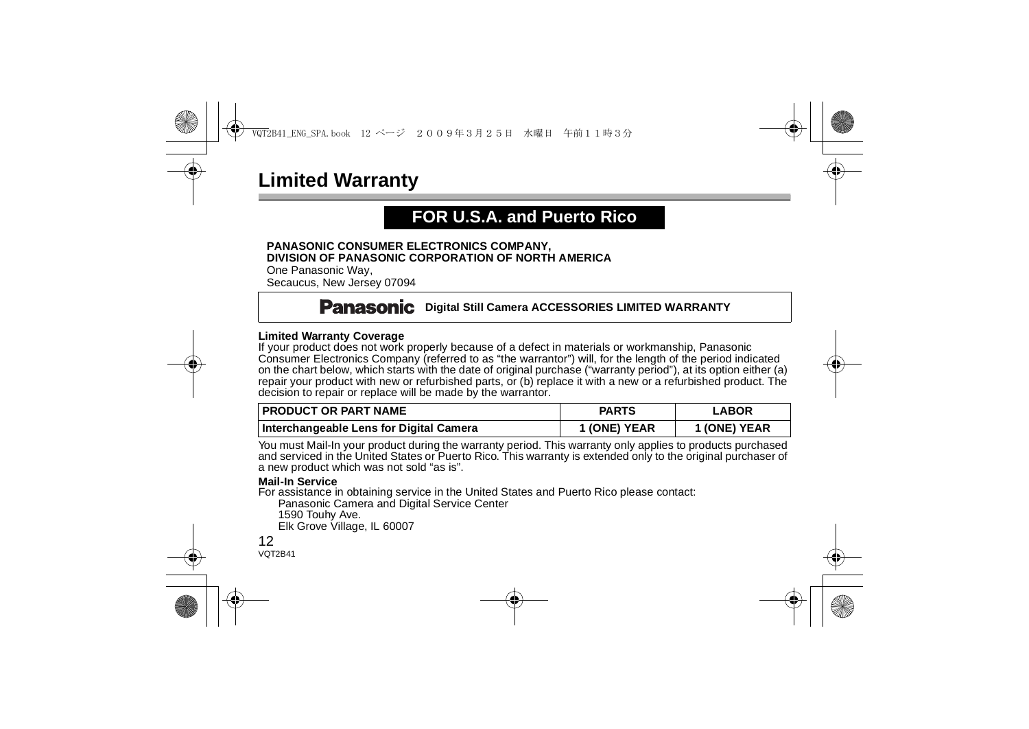## **Limited Warranty**

## **FOR U.S.A. and Puerto Rico**

#### **PANASONIC CONSUMER ELECTRONICS COMPANY, DIVISION OF PANASONIC CORPORATION OF NORTH AMERICA**

One Panasonic Way, Secaucus, New Jersey 07094

## **Panasonic** Digital Still Camera ACCESSORIES LIMITED WARRANTY

#### **Limited Warranty Coverage**

If your product does not work properly because of a defect in materials or workmanship, Panasonic Consumer Electronics Company (referred to as "the warrantor") will, for the length of the period indicated on the chart below, which starts with the date of original purchase ("warranty period"), at its option either (a) repair your product with new or refurbished parts, or (b) replace it with a new or a refurbished product. The decision to repair or replace will be made by the warrantor.

| I PRODUCT OR PART NAME                  | <b>PARTS</b> | <b>LABOR</b> |
|-----------------------------------------|--------------|--------------|
| Interchangeable Lens for Digital Camera | 1 (ONE) YEAR | 1 (ONE) YEAR |

You must Mail-In your product during the warranty period. This warranty only applies to products purchased and serviced in the United States or Puerto Rico. This warranty is extended only to the original purchaser of a new product which was not sold "as is".

#### **Mail-In Service**

For assistance in obtaining service in the United States and Puerto Rico please contact:

Panasonic Camera and Digital Service Center

1590 Touhy Ave.

Elk Grove Village, IL 60007

#### 12VOT2R41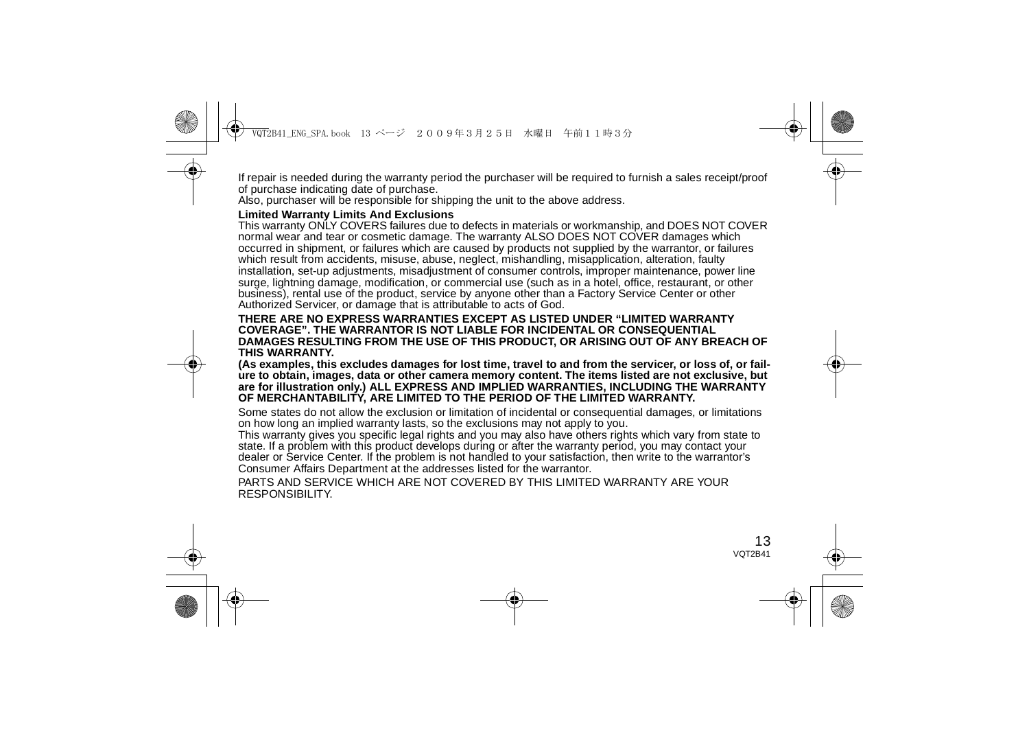If repair is needed during the warranty period the purchaser will be required to furnish a sales receipt/proof of purchase indicating date of purchase.

Also, purchaser will be responsible for shipping the unit to the above address.

#### **Limited Warranty Limits And Exclusions**

This warranty ONLY COVERS failures due to defects in materials or workmanship, and DOES NOT COVER normal wear and tear or cosmetic damage. The warranty ALSO DOES NOT COVER damages which occurred in shipment, or failures which are caused by products not supplied by the warrantor, or failures which result from accidents, misuse, abuse, neglect, mishandling, misapplication, alteration, faulty installation, set-up adjustments, misadjustment of consumer controls, improper maintenance, power line surge, lightning damage, modification, or commercial use (such as in a hotel, office, restaurant, or other business), rental use of the product, service by anyone other than a Factory Service Center or other Authorized Servicer, or damage that is attributable to acts of God.

#### **THERE ARE NO EXPRESS WARRANTIES EXCEPT AS LISTED UNDER "LIMITED WARRANTY COVERAGE". THE WARRANTOR IS NOT LIABLE FOR INCIDENTAL OR CONSEQUENTIAL DAMAGES RESULTING FROM THE USE OF THIS PRODUCT, OR ARISING OUT OF ANY BREACH OF THIS WARRANTY.**

**(As examples, this excludes damages for lost time, travel to and from the servicer, or loss of, or failure to obtain, images, data or other camera memory content. The items listed are not exclusive, but are for illustration only.) ALL EXPRESS AND IMPLIED WARRANTIES, INCLUDING THE WARRANTY OF MERCHANTABILITY, ARE LIMITED TO THE PERIOD OF THE LIMITED WARRANTY.**

Some states do not allow the exclusion or limitation of incidental or consequential damages, or limitations on how long an implied warranty lasts, so the exclusions may not apply to you.

This warranty gives you specific legal rights and you may also have others rights which vary from state to state. If a problem with this product develops during or after the warranty period, you may contact your dealer or Service Center. If the problem is not handled to your satisfaction, then write to the warrantor's Consumer Affairs Department at the addresses listed for the warrantor.

PARTS AND SERVICE WHICH ARE NOT COVERED BY THIS LIMITED WARRANTY ARE YOUR RESPONSIBILITY.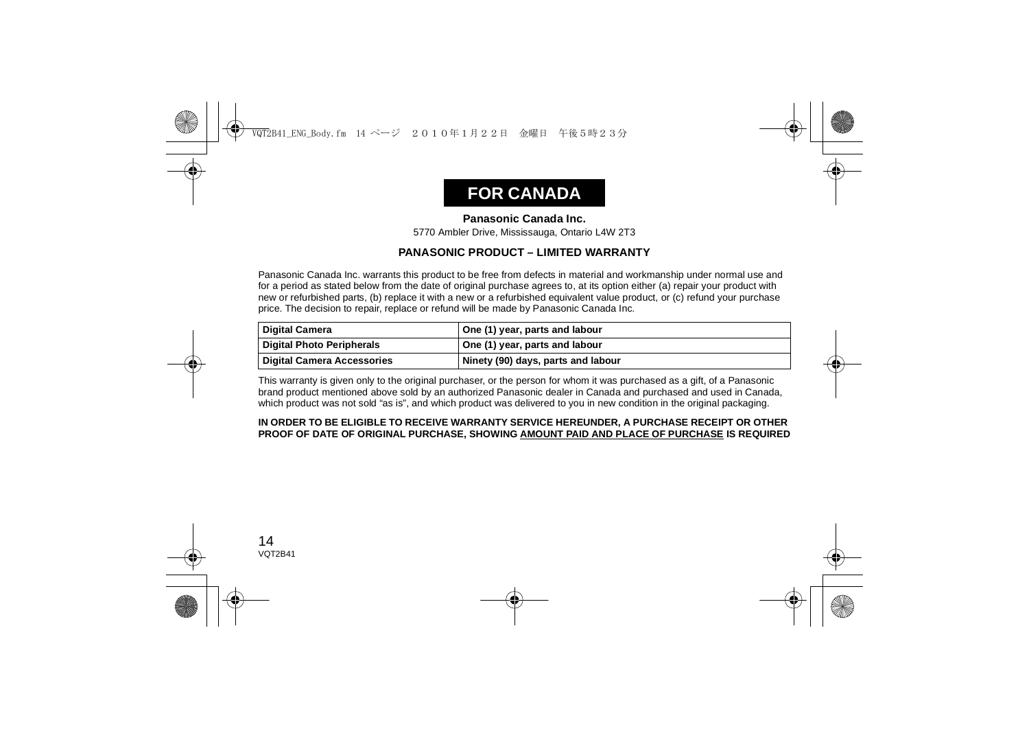## **FOR CANADA**

#### **Panasonic Canada Inc.**

5770 Ambler Drive, Mississauga, Ontario L4W 2T3

#### **PANASONIC PRODUCT – LIMITED WARRANTY**

Panasonic Canada Inc. warrants this product to be free from defects in material and workmanship under normal use and for a period as stated below from the date of original purchase agrees to, at its option either (a) repair your product with new or refurbished parts, (b) replace it with a new or a refurbished equivalent value product, or (c) refund your purchase price. The decision to repair, replace or refund will be made by Panasonic Canada Inc.

| Digital Camera                    | One (1) year, parts and labour     |
|-----------------------------------|------------------------------------|
| <b>Digital Photo Peripherals</b>  | One (1) year, parts and labour     |
| <b>Digital Camera Accessories</b> | Ninety (90) days, parts and labour |

This warranty is given only to the original purchaser, or the person for whom it was purchased as a gift, of a Panasonic brand product mentioned above sold by an authorized Panasonic dealer in Canada and purchased and used in Canada, which product was not sold "as is", and which product was delivered to you in new condition in the original packaging.

#### **IN ORDER TO BE ELIGIBLE TO RECEIVE WARRANTY SERVICE HEREUNDER, A PURCHASE RECEIPT OR OTHER PROOF OF DATE OF ORIGINAL PURCHASE, SHOWING AMOUNT PAID AND PLACE OF PURCHASE IS REQUIRED**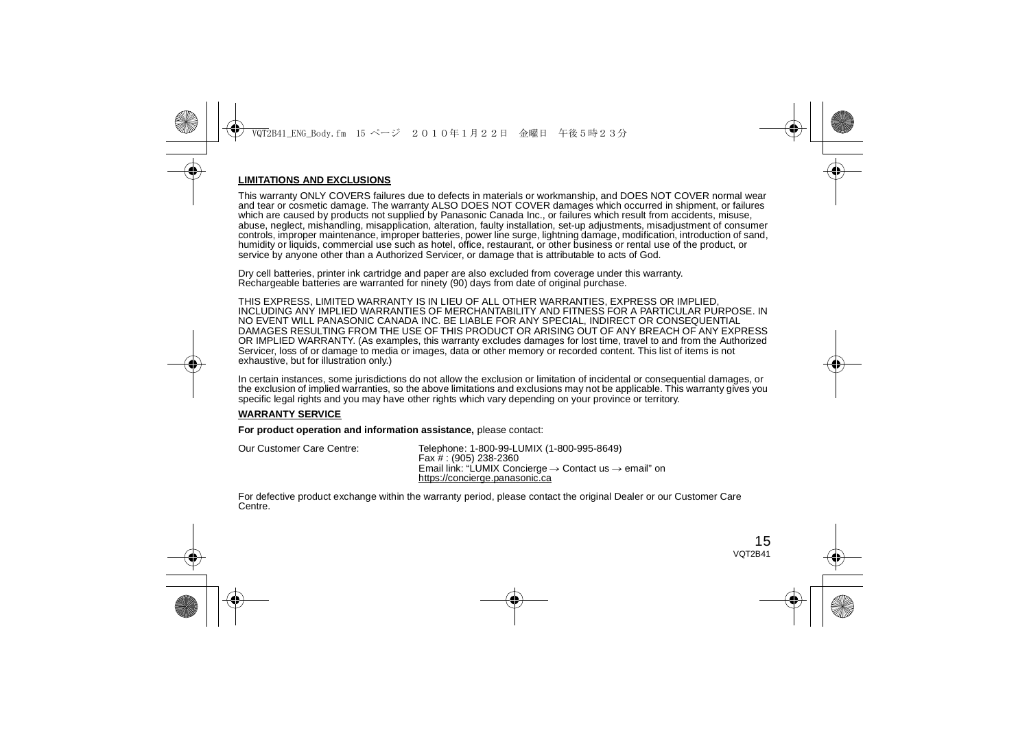#### **LIMITATIONS AND EXCLUSIONS**

This warranty ONLY COVERS failures due to defects in materials or workmanship, and DOES NOT COVER normal wear and tear or cosmetic damage. The warranty ALSO DOES NOT COVER damages which occurred in shipment, or failures which are caused by products not supplied by Panasonic Canada Inc., or failures which result from accidents, misuse, abuse, neglect, mishandling, misapplication, alteration, faulty installation, set-up adjustments, misadjustment of consumer controls, improper maintenance, improper batteries, power line surge, lightning damage, modification, introduction of sand, humidity or liquids, commercial use such as hotel, office, restaurant, or other business or rental use of the product, or service by anyone other than a Authorized Servicer, or damage that is attributable to acts of God.

Dry cell batteries, printer ink cartridge and paper are also excluded from coverage under this warranty. Rechargeable batteries are warranted for ninety (90) days from date of original purchase.

THIS EXPRESS, LIMITED WARRANTY IS IN LIEU OF ALL OTHER WARRANTIES, EXPRESS OR IMPLIED, INCLUDING ANY IMPLIED WARRANTIES OF MERCHANTABILITY AND FITNESS FOR A PARTICULAR PURPOSE. IN NO EVENT WILL PANASONIC CANADA INC. BE LIABLE FOR ANY SPECIAL, INDIRECT OR CONSEQUENTIAL DAMAGES RESULTING FROM THE USE OF THIS PRODUCT OR ARISING OUT OF ANY BREACH OF ANY EXPRESS OR IMPLIED WARRANTY. (As examples, this warranty excludes damages for lost time, travel to and from the Authorized Servicer, loss of or damage to media or images, data or other memory or recorded content. This list of items is not exhaustive, but for illustration only.)

In certain instances, some jurisdictions do not allow the exclusion or limitation of incidental or consequential damages, or the exclusion of implied warranties, so the above limitations and exclusions may not be applicable. This warranty gives you specific legal rights and you may have other rights which vary depending on your province or territory.

#### **WARRANTY SERVICE**

**For product operation and information assistance,** please contact:

| Our Customer Care Centre: | Telephone: 1-800-99-LUMIX (1-800-995-8649)                                    |
|---------------------------|-------------------------------------------------------------------------------|
|                           | Fax # : (905) 238-2360                                                        |
|                           | Email link: "LUMIX Concierge $\rightarrow$ Contact us $\rightarrow$ email" on |
|                           | https://concierge.panasonic.ca                                                |

For defective product exchange within the warranty period, please contact the original Dealer or our Customer Care Centre.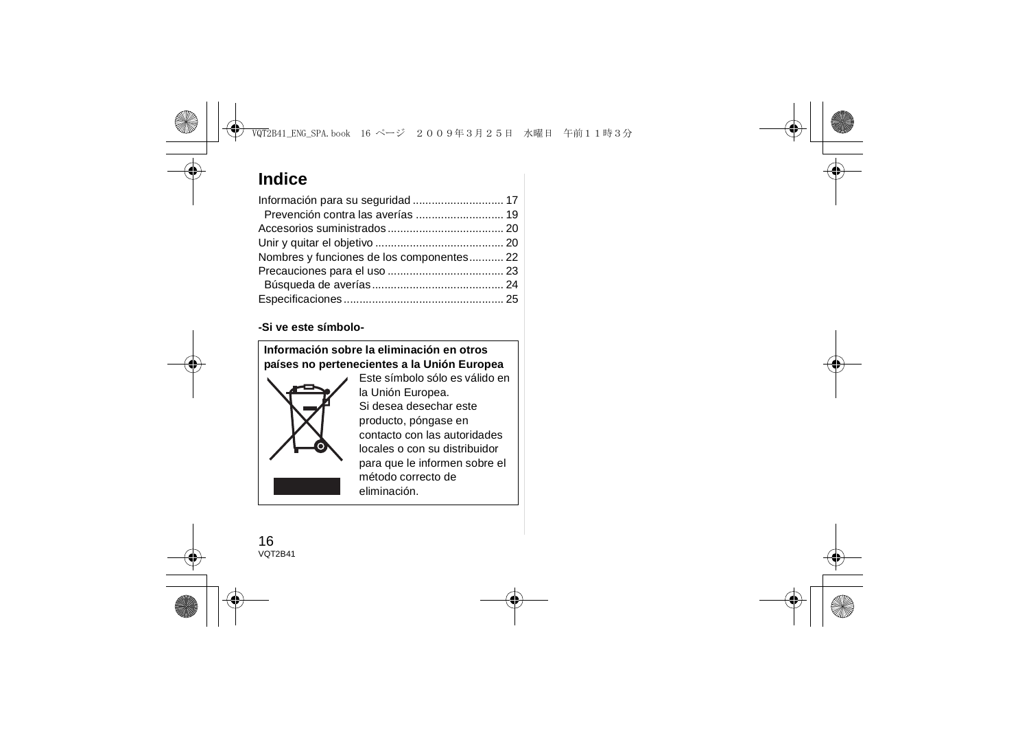## **Indice**

| Nombres y funciones de los componentes 22 |  |
|-------------------------------------------|--|
|                                           |  |
|                                           |  |
|                                           |  |

#### **-Si ve este símbolo-**

**Información sobre la eliminación en otros países no pertenecientes a la Unión Europea**



Este símbolo sólo es válido en la Unión Europea. Si desea desechar este producto, póngase en contacto con las autoridades locales o con su distribuidor para que le informen sobre el método correcto de eliminación.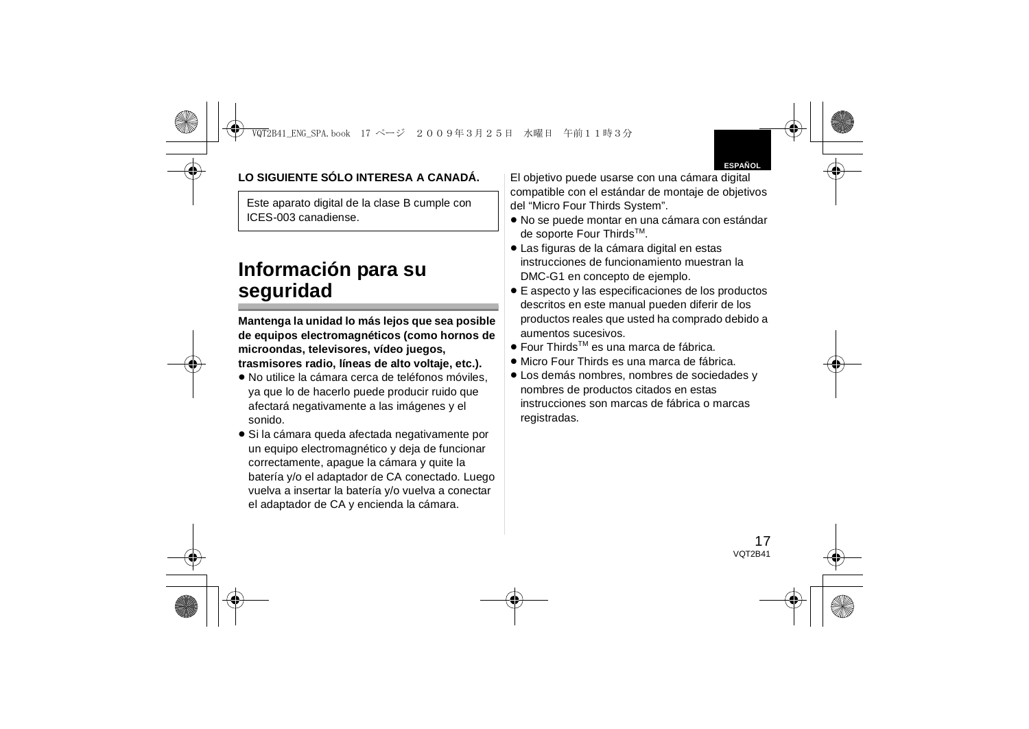## **LO SIGUIENTE SÓLO INTERESA A CANADÁ.**

Este aparato digital de la clase B cumple con ICES-003 canadiense.

## **Información para su seguridad**

**Mantenga la unidad lo más lejos que sea posible de equipos electromagnéticos (como hornos de microondas, televisores, vídeo juegos, trasmisores radio, líneas de alto voltaje, etc.).**

- ≥ No utilice la cámara cerca de teléfonos móviles, ya que lo de hacerlo puede producir ruido que afectará negativamente a las imágenes y el sonido.
- ≥ Si la cámara queda afectada negativamente por un equipo electromagnético y deja de funcionar correctamente, apague la cámara y quite la batería y/o el adaptador de CA conectado. Luego vuelva a insertar la batería y/o vuelva a conectar el adaptador de CA y encienda la cámara.

El objetivo puede usarse con una cámara digital compatible con el estándar de montaje de objetivos del "Micro Four Thirds System".

- ≥ No se puede montar en una cámara con estándar de soporte Four ThirdsTM.
- ≥ Las figuras de la cámara digital en estas instrucciones de funcionamiento muestran la DMC-G1 en concepto de ejemplo.
- ≥ E aspecto y las especificaciones de los productos descritos en este manual pueden diferir de los productos reales que usted ha comprado debido a aumentos sucesivos.
- Four Thirds<sup>™</sup> es una marca de fábrica.
- ≥ Micro Four Thirds es una marca de fábrica.
- ≥ Los demás nombres, nombres de sociedades y nombres de productos citados en estas instrucciones son marcas de fábrica o marcas registradas.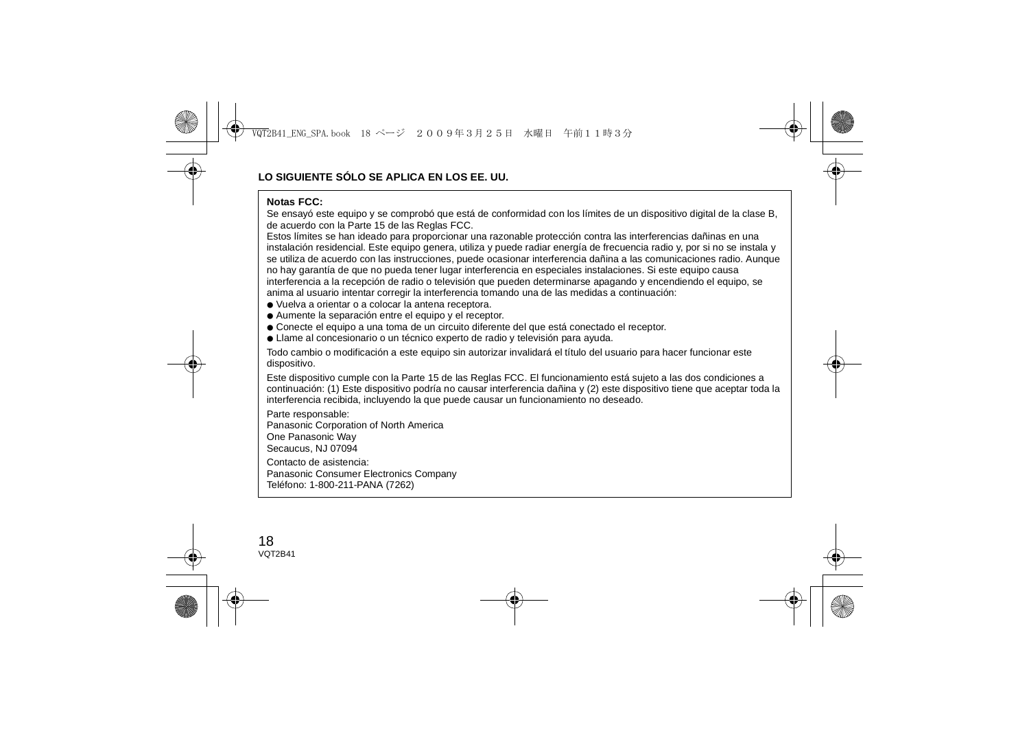#### **Notas FCC:**

 Se ensayó este equipo y se comprobó que está de conformidad con los límites de un dispositivo digital de la clase B, de acuerdo con la Parte 15 de las Reglas FCC.

Estos límites se han ideado para proporcionar una razonable protección contra las interferencias dañinas en una instalación residencial. Este equipo genera, utiliza y puede radiar energía de frecuencia radio y, por si no se instala y se utiliza de acuerdo con las instrucciones, puede ocasionar interferencia dañina a las comunicaciones radio. Aunque no hay garantía de que no pueda tener lugar interferencia en especiales instalaciones. Si este equipo causa interferencia a la recepción de radio o televisión que pueden determinarse apagando y encendiendo el equipo, se anima al usuario intentar corregir la interferencia tomando una de las medidas a continuación:

- Vuelva a orientar o a colocar la antena receptora.
- Aumente la separación entre el equipo y el receptor.
- Conecte el equipo a una toma de un circuito diferente del que está conectado el receptor.
- Llame al concesionario o un técnico experto de radio y televisión para ayuda.

Todo cambio o modificación a este equipo sin autorizar invalidará el título del usuario para hacer funcionar este dispositivo.

Este dispositivo cumple con la Parte 15 de las Reglas FCC. El funcionamiento está sujeto a las dos condiciones a continuación: (1) Este dispositivo podría no causar interferencia dañina y (2) este dispositivo tiene que aceptar toda la interferencia recibida, incluyendo la que puede causar un funcionamiento no deseado.

Parte responsable: Panasonic Corporation of North America One Panasonic Way Secaucus, NJ 07094 Contacto de asistencia:Panasonic Consumer Electronics Company Teléfono: 1-800-211-PANA (7262)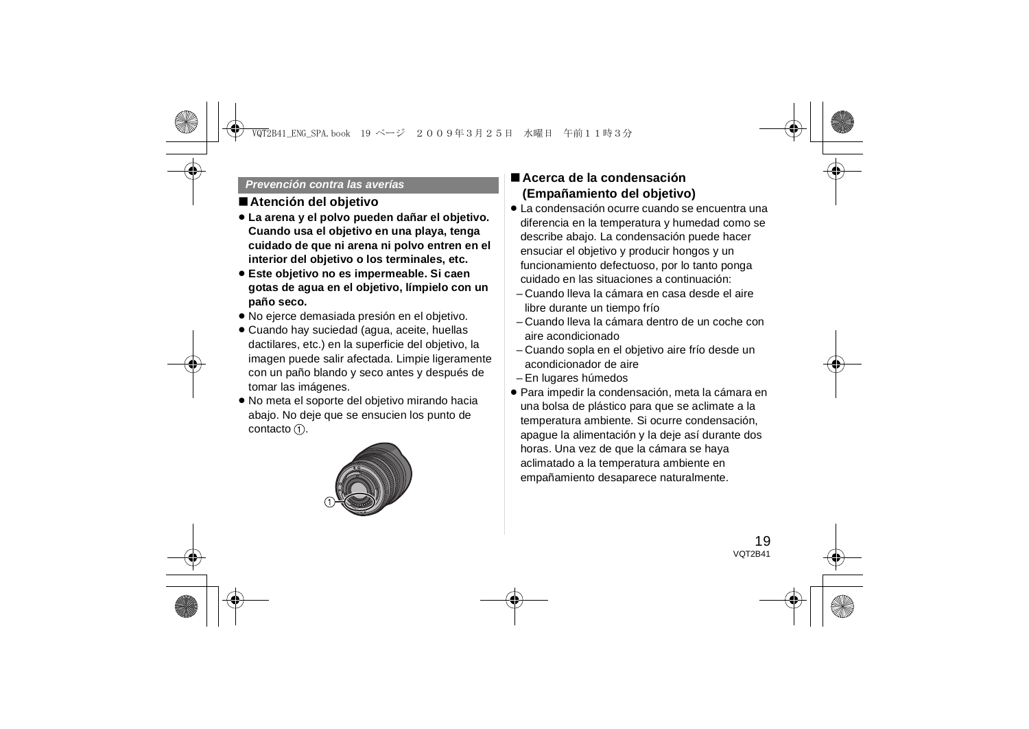#### *Prevención contra las averías*

### ∫**Atención del objetivo**

- ≥ **La arena y el polvo pueden dañar el objetivo. Cuando usa el objetivo en una playa, tenga cuidado de que ni arena ni polvo entren en el interior del objetivo o los terminales, etc.**
- ≥ **Este objetivo no es impermeable. Si caen gotas de agua en el objetivo, límpielo con un paño seco.**
- ≥ No ejerce demasiada presión en el objetivo.
- Cuando hay suciedad (agua, aceite, huellas dactilares, etc.) en la superficie del objetivo, la imagen puede salir afectada. Limpie ligeramente con un paño blando y seco antes y después de tomar las imágenes.
- ≥ No meta el soporte del objetivo mirando hacia abajo. No deje que se ensucien los punto de contacto  $(1)$ .



## ∫ **Acerca de la condensación (Empañamiento del objetivo)**

- ≥ La condensación ocurre cuando se encuentra una diferencia en la temperatura y humedad como se describe abajo. La condensación puede hacer ensuciar el objetivo y producir hongos y un funcionamiento defectuoso, por lo tanto ponga cuidado en las situaciones a continuación:
- Cuando lleva la cámara en casa desde el aire libre durante un tiempo frío
- Cuando lleva la cámara dentro de un coche con aire acondicionado
- Cuando sopla en el objetivo aire frío desde un acondicionador de aire
- En lugares húmedos
- ≥ Para impedir la condensación, meta la cámara en una bolsa de plástico para que se aclimate a la temperatura ambiente. Si ocurre condensación, apague la alimentación y la deje así durante dos horas. Una vez de que la cámara se haya aclimatado a la temperatura ambiente en empañamiento desaparece naturalmente.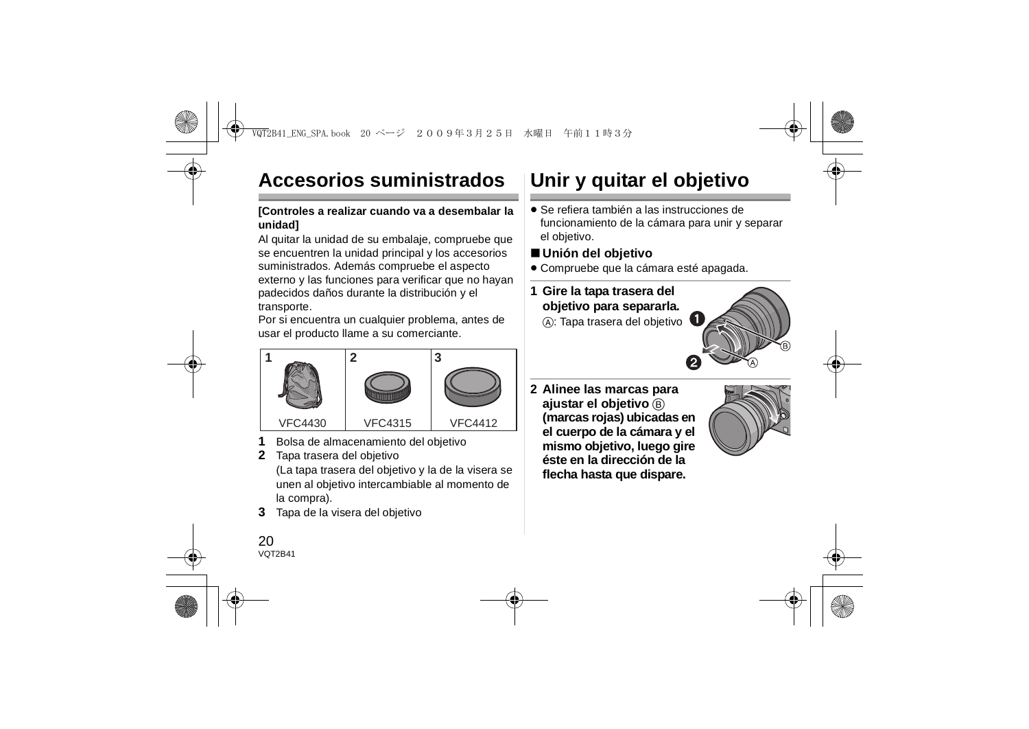# **Accesorios suministrados**

### **[Controles a realizar cuando va a desembalar la unidad]**

Al quitar la unidad de su embalaje, compruebe que se encuentren la unidad principal y los accesorios suministrados. Además compruebe el aspecto externo y las funciones para verificar que no hayan padecidos daños durante la distribución y el transporte.

Por si encuentra un cualquier problema, antes de usar el producto llame a su comerciante.



- **1**Bolsa de almacenamiento del objetivo
- **2** Tapa trasera del objetivo (La tapa trasera del objetivo y la de la visera se unen al objetivo intercambiable al momento de la compra).
- **3**Tapa de la visera del objetivo

 $20$ VOT<sub>2</sub>R<sub>41</sub>

# **Unir y quitar el objetivo**

≥ Se refiera también a las instrucciones de funcionamiento de la cámara para unir y separar el objetivo.

## ∫ **Unión del objetivo**

≥ Compruebe que la cámara esté apagada.

## **1 Gire la tapa trasera del objetivo para separarla.**

A: Tapa trasera del objetivo



**2 Alinee las marcas para ajustar el objetivo** B **(marcas rojas) ubicadas en el cuerpo de la cámara y el mismo objetivo, luego gire éste en la dirección de la flecha hasta que dispare.**

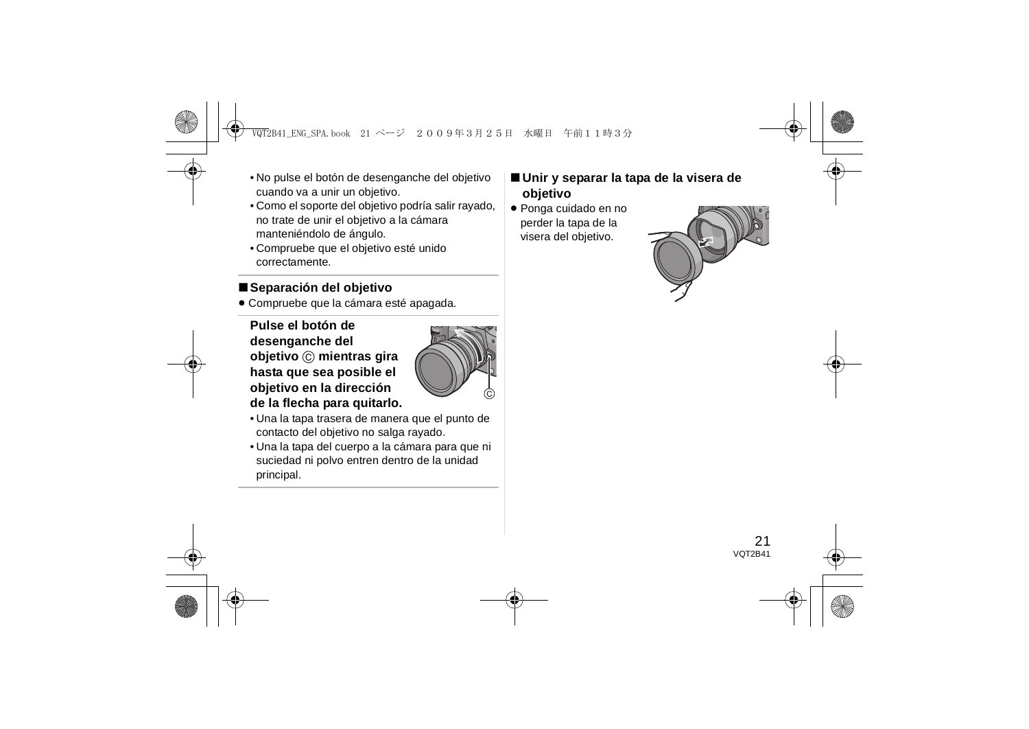- No pulse el botón de desenganche del objetivo cuando va a unir un objetivo.
- Como el soporte del objetivo podría salir rayado, no trate de unir el objetivo a la cámara manteniéndolo de ángulo.
- Compruebe que el objetivo esté unido correctamente.

## ∫**Separación del objetivo**

≥ Compruebe que la cámara esté apagada.

**Pulse el botón de desenganche del objetivo**  C **mientras gira hasta que sea posible el objetivo en la dirección de la flecha para quitarlo.**



- Una la tapa trasera de manera que el punto de contacto del objetivo no salga rayado.
- Una la tapa del cuerpo a la cámara para que ni suciedad ni polvo entren dentro de la unidad principal.
- ∫ **Unir y separar la tapa de la visera de objetivo**
- ≥ Ponga cuidado en no perder la tapa de la visera del objetivo.

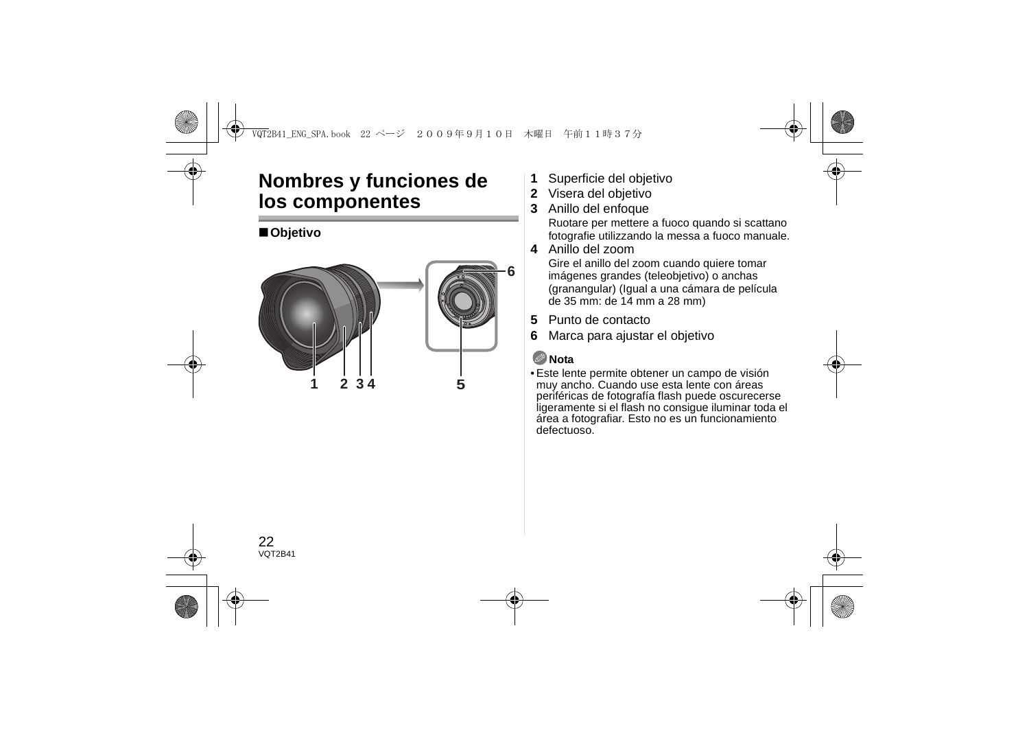## **Nombres y funciones de los componentes**

## ∫**Objetivo**



- **1**Superficie del objetivo
- **2** Visera del objetivo
- **3**Anillo del enfoque

Ruotare per mettere a fuoco quando si scattano fotografie utilizzando la messa a fuoco manuale.

**4** Anillo del zoom

Gire el anillo del zoom cuando quiere tomar imágenes grandes (teleobjetivo) o anchas (granangular) (Igual a una cámara de película de 35 mm: de 14 mm a 28 mm)

- **5**Punto de contacto
- **6**Marca para ajustar el objetivo

## **Nota**

• Este lente permite obtener un campo de visión muy ancho. Cuando use esta lente con áreas periféricas de fotografía flash puede oscurecerse ligeramente si el flash no consigue iluminar toda el área a fotografiar. Esto no es un funcionamiento defectuoso.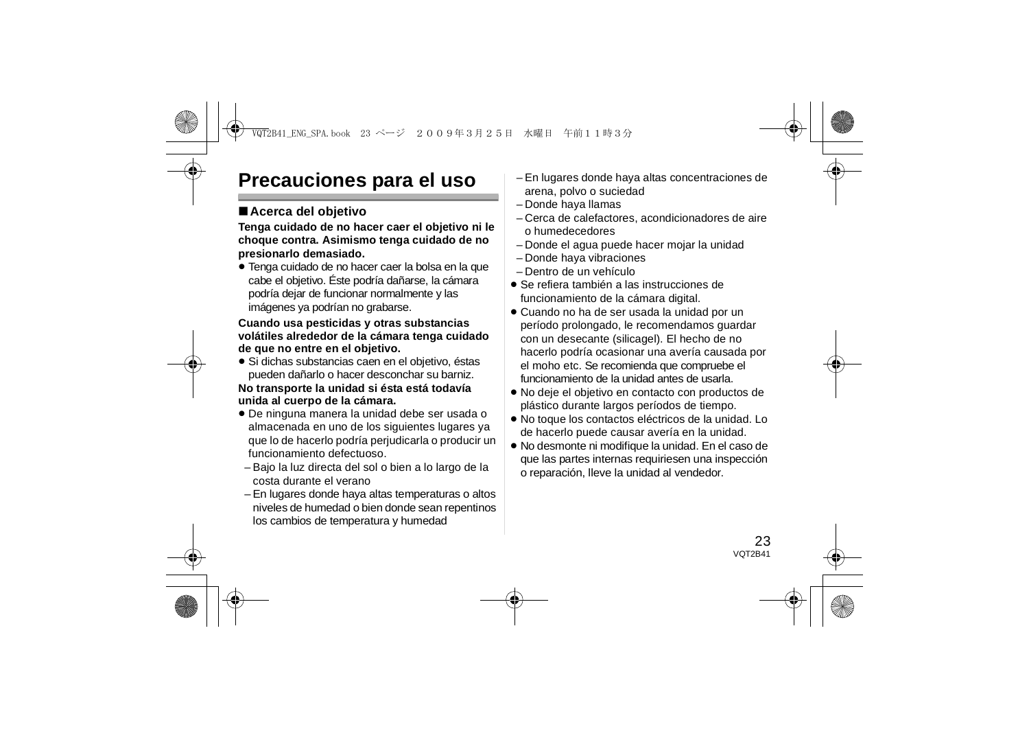## **Precauciones para el uso**

## ∫**Acerca del objetivo**

**Tenga cuidado de no hacer caer el objetivo ni le choque contra. Asimismo tenga cuidado de no presionarlo demasiado.**

≥ Tenga cuidado de no hacer caer la bolsa en la que cabe el objetivo. Éste podría dañarse, la cámara podría dejar de funcionar normalmente y las imágenes ya podrían no grabarse.

#### **Cuando usa pesticidas y otras substancias volátiles alrededor de la cámara tenga cuidado de que no entre en el objetivo.**

≥ Si dichas substancias caen en el objetivo, éstas pueden dañarlo o hacer desconchar su barniz.

#### **No transporte la unidad si ésta está todavía unida al cuerpo de la cámara.**

- ≥ De ninguna manera la unidad debe ser usada o almacenada en uno de los siguientes lugares ya que lo de hacerlo podría perjudicarla o producir un funcionamiento defectuoso.
- Bajo la luz directa del sol o bien a lo largo de la costa durante el verano
- En lugares donde haya altas temperaturas o altos niveles de humedad o bien donde sean repentinos los cambios de temperatura y humedad
- En lugares donde haya altas concentraciones de arena, polvo o suciedad
- Donde haya llamas
- Cerca de calefactores, acondicionadores de aire o humedecedores
- Donde el agua puede hacer mojar la unidad
- Donde haya vibraciones
- Dentro de un vehículo
- ≥ Se refiera también a las instrucciones de funcionamiento de la cámara digital.
- ≥ Cuando no ha de ser usada la unidad por un período prolongado, le recomendamos guardar con un desecante (silicagel). El hecho de no hacerlo podría ocasionar una avería causada por el moho etc. Se recomienda que compruebe el funcionamiento de la unidad antes de usarla.
- ≥ No deje el objetivo en contacto con productos de plástico durante largos períodos de tiempo.
- ≥ No toque los contactos eléctricos de la unidad. Lo de hacerlo puede causar avería en la unidad.
- ≥ No desmonte ni modifique la unidad. En el caso de que las partes internas requiriesen una inspección o reparación, lleve la unidad al vendedor.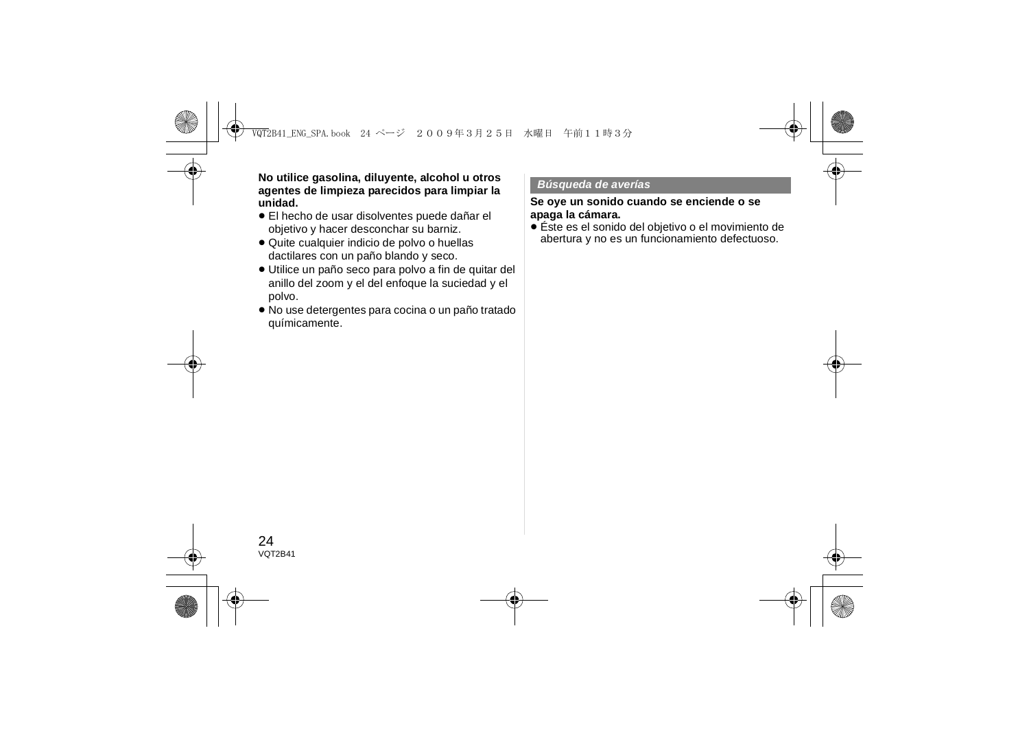**No utilice gasolina, diluyente, alcohol u otros agentes de limpieza parecidos para limpiar la unidad.**

- ≥ El hecho de usar disolventes puede dañar el objetivo y hacer desconchar su barniz.
- ≥ Quite cualquier indicio de polvo o huellas dactilares con un paño blando y seco.
- ≥ Utilice un paño seco para polvo a fin de quitar del anillo del zoom y el del enfoque la suciedad y el polvo.
- ≥ No use detergentes para cocina o un paño tratado químicamente.

#### *Búsqueda de averías*

#### **Se oye un sonido cuando se enciende o se apaga la cámara.**

≥ Éste es el sonido del objetivo o el movimiento de abertura y no es un funcionamiento defectuoso.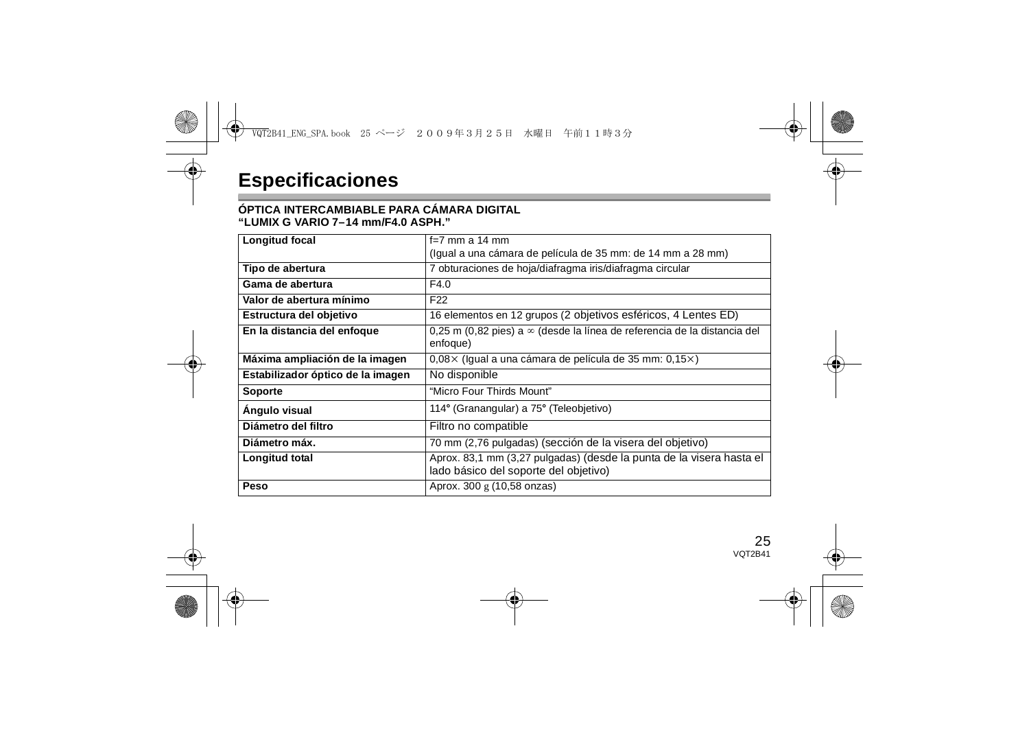#### **ÓPTICA INTERCAMBIABLE PARA CÁMARA DIGITAL"LUMIX G VARIO 7–14 mm/F4.0 ASPH."**

| Longitud focal                    | f=7 mm a 14 mm                                                                                                |
|-----------------------------------|---------------------------------------------------------------------------------------------------------------|
|                                   | (Igual a una cámara de película de 35 mm: de 14 mm a 28 mm)                                                   |
| Tipo de abertura                  | 7 obturaciones de hoja/diafragma iris/diafragma circular                                                      |
| Gama de abertura                  | F4.0                                                                                                          |
| Valor de abertura mínimo          | F <sub>22</sub>                                                                                               |
| Estructura del objetivo           | 16 elementos en 12 grupos (2 objetivos esféricos, 4 Lentes ED)                                                |
| En la distancia del enfoque       | 0.25 m (0.82 pies) a $\infty$ (desde la línea de referencia de la distancia del<br>enfoque)                   |
| Máxima ampliación de la imagen    | $0.08 \times$ (Igual a una cámara de película de 35 mm: 0,15 $\times$ )                                       |
| Estabilizador óptico de la imagen | No disponible                                                                                                 |
| Soporte                           | "Micro Four Thirds Mount"                                                                                     |
| Angulo visual                     | 114° (Granangular) a 75° (Teleobjetivo)                                                                       |
| Diámetro del filtro               | Filtro no compatible                                                                                          |
| Diámetro máx.                     | 70 mm (2,76 pulgadas) (sección de la visera del objetivo)                                                     |
| Longitud total                    | Aprox. 83,1 mm (3,27 pulgadas) (desde la punta de la visera hasta el<br>lado básico del soporte del objetivo) |
| Peso                              | Aprox. 300 g (10,58 onzas)                                                                                    |